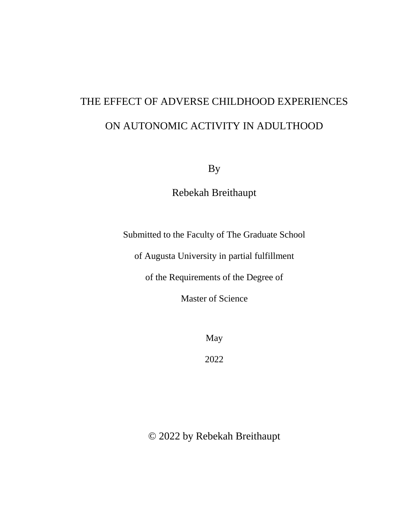# THE EFFECT OF ADVERSE CHILDHOOD EXPERIENCES ON AUTONOMIC ACTIVITY IN ADULTHOOD

By

Rebekah Breithaupt

Submitted to the Faculty of The Graduate School

of Augusta University in partial fulfillment

of the Requirements of the Degree of

Master of Science

May

2022

© 2022 by Rebekah Breithaupt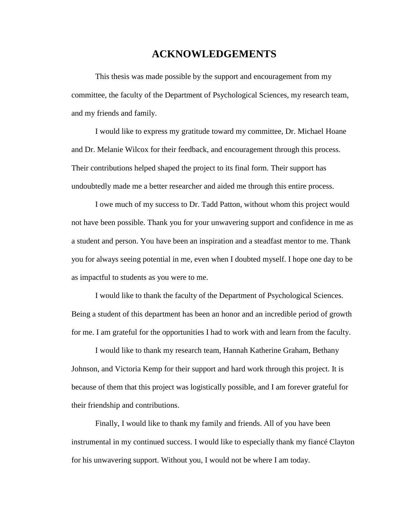## **ACKNOWLEDGEMENTS**

This thesis was made possible by the support and encouragement from my committee, the faculty of the Department of Psychological Sciences, my research team, and my friends and family.

I would like to express my gratitude toward my committee, Dr. Michael Hoane and Dr. Melanie Wilcox for their feedback, and encouragement through this process. Their contributions helped shaped the project to its final form. Their support has undoubtedly made me a better researcher and aided me through this entire process.

I owe much of my success to Dr. Tadd Patton, without whom this project would not have been possible. Thank you for your unwavering support and confidence in me as a student and person. You have been an inspiration and a steadfast mentor to me. Thank you for always seeing potential in me, even when I doubted myself. I hope one day to be as impactful to students as you were to me.

I would like to thank the faculty of the Department of Psychological Sciences. Being a student of this department has been an honor and an incredible period of growth for me. I am grateful for the opportunities I had to work with and learn from the faculty.

I would like to thank my research team, Hannah Katherine Graham, Bethany Johnson, and Victoria Kemp for their support and hard work through this project. It is because of them that this project was logistically possible, and I am forever grateful for their friendship and contributions.

Finally, I would like to thank my family and friends. All of you have been instrumental in my continued success. I would like to especially thank my fiancé Clayton for his unwavering support. Without you, I would not be where I am today.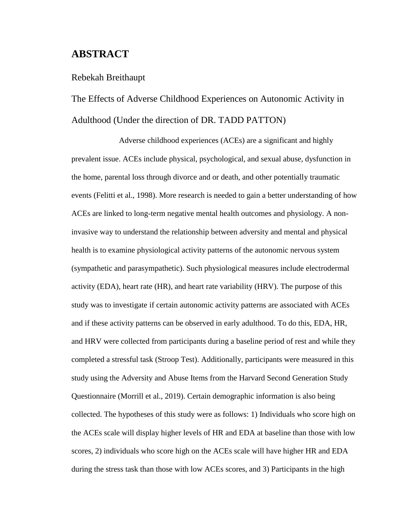## **ABSTRACT**

#### Rebekah Breithaupt

## The Effects of Adverse Childhood Experiences on Autonomic Activity in Adulthood (Under the direction of DR. TADD PATTON)

Adverse childhood experiences (ACEs) are a significant and highly prevalent issue. ACEs include physical, psychological, and sexual abuse, dysfunction in the home, parental loss through divorce and or death, and other potentially traumatic events (Felitti et al., 1998). More research is needed to gain a better understanding of how ACEs are linked to long-term negative mental health outcomes and physiology. A noninvasive way to understand the relationship between adversity and mental and physical health is to examine physiological activity patterns of the autonomic nervous system (sympathetic and parasympathetic). Such physiological measures include electrodermal activity (EDA), heart rate (HR), and heart rate variability (HRV). The purpose of this study was to investigate if certain autonomic activity patterns are associated with ACEs and if these activity patterns can be observed in early adulthood. To do this, EDA, HR, and HRV were collected from participants during a baseline period of rest and while they completed a stressful task (Stroop Test). Additionally, participants were measured in this study using the Adversity and Abuse Items from the Harvard Second Generation Study Questionnaire (Morrill et al., 2019). Certain demographic information is also being collected. The hypotheses of this study were as follows: 1) Individuals who score high on the ACEs scale will display higher levels of HR and EDA at baseline than those with low scores, 2) individuals who score high on the ACEs scale will have higher HR and EDA during the stress task than those with low ACEs scores, and 3) Participants in the high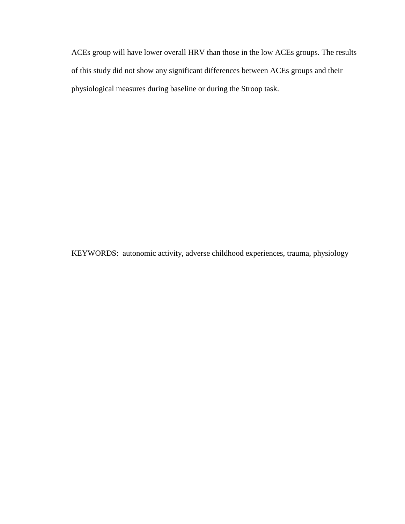ACEs group will have lower overall HRV than those in the low ACEs groups. The results of this study did not show any significant differences between ACEs groups and their physiological measures during baseline or during the Stroop task.

KEYWORDS: autonomic activity, adverse childhood experiences, trauma, physiology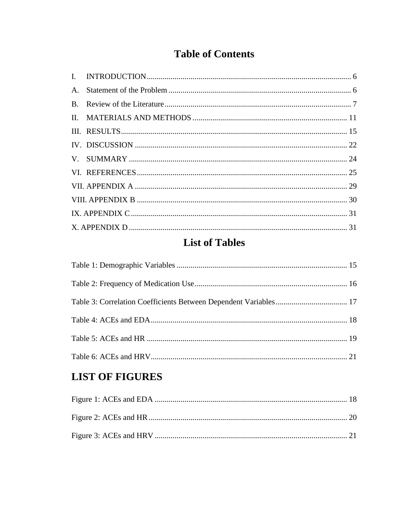## **Table of Contents**

| $A_{1}$ |  |
|---------|--|
|         |  |
|         |  |
|         |  |
|         |  |
|         |  |
|         |  |
|         |  |
|         |  |
|         |  |
|         |  |
|         |  |

## **List of Tables**

## **LIST OF FIGURES**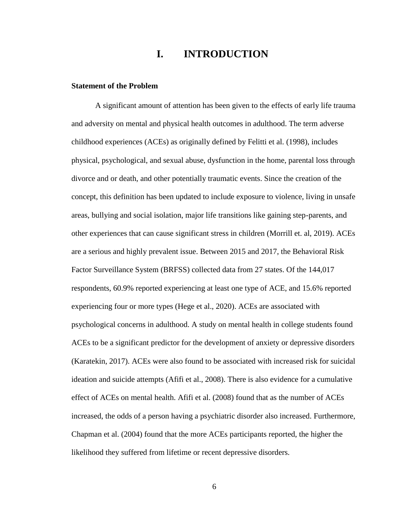## **I. INTRODUCTION**

#### <span id="page-5-1"></span><span id="page-5-0"></span>**Statement of the Problem**

A significant amount of attention has been given to the effects of early life trauma and adversity on mental and physical health outcomes in adulthood. The term adverse childhood experiences (ACEs) as originally defined by Felitti et al. (1998), includes physical, psychological, and sexual abuse, dysfunction in the home, parental loss through divorce and or death, and other potentially traumatic events. Since the creation of the concept, this definition has been updated to include exposure to violence, living in unsafe areas, bullying and social isolation, major life transitions like gaining step-parents, and other experiences that can cause significant stress in children (Morrill et. al, 2019). ACEs are a serious and highly prevalent issue. Between 2015 and 2017, the Behavioral Risk Factor Surveillance System (BRFSS) collected data from 27 states. Of the 144,017 respondents, 60.9% reported experiencing at least one type of ACE, and 15.6% reported experiencing four or more types (Hege et al., 2020). ACEs are associated with psychological concerns in adulthood. A study on mental health in college students found ACEs to be a significant predictor for the development of anxiety or depressive disorders (Karatekin, 2017). ACEs were also found to be associated with increased risk for suicidal ideation and suicide attempts (Afifi et al., 2008). There is also evidence for a cumulative effect of ACEs on mental health. Afifi et al. (2008) found that as the number of ACEs increased, the odds of a person having a psychiatric disorder also increased. Furthermore, Chapman et al. (2004) found that the more ACEs participants reported, the higher the likelihood they suffered from lifetime or recent depressive disorders.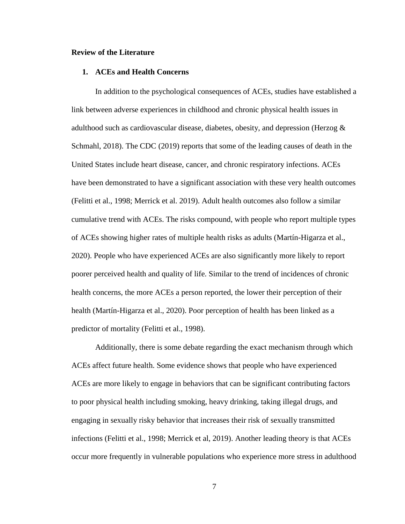#### <span id="page-6-0"></span>**Review of the Literature**

#### **1. ACEs and Health Concerns**

In addition to the psychological consequences of ACEs, studies have established a link between adverse experiences in childhood and chronic physical health issues in adulthood such as cardiovascular disease, diabetes, obesity, and depression (Herzog  $\&$ Schmahl, 2018). The CDC (2019) reports that some of the leading causes of death in the United States include heart disease, cancer, and chronic respiratory infections. ACEs have been demonstrated to have a significant association with these very health outcomes (Felitti et al., 1998; Merrick et al. 2019). Adult health outcomes also follow a similar cumulative trend with ACEs. The risks compound, with people who report multiple types of ACEs showing higher rates of multiple health risks as adults (Martín-Higarza et al., 2020). People who have experienced ACEs are also significantly more likely to report poorer perceived health and quality of life. Similar to the trend of incidences of chronic health concerns, the more ACEs a person reported, the lower their perception of their health (Martín-Higarza et al., 2020). Poor perception of health has been linked as a predictor of mortality (Felitti et al., 1998).

Additionally, there is some debate regarding the exact mechanism through which ACEs affect future health. Some evidence shows that people who have experienced ACEs are more likely to engage in behaviors that can be significant contributing factors to poor physical health including smoking, heavy drinking, taking illegal drugs, and engaging in sexually risky behavior that increases their risk of sexually transmitted infections (Felitti et al., 1998; Merrick et al, 2019). Another leading theory is that ACEs occur more frequently in vulnerable populations who experience more stress in adulthood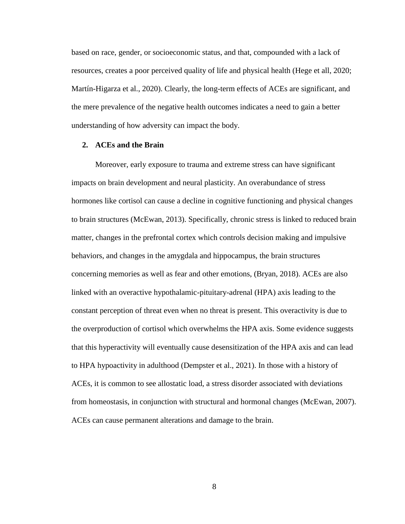based on race, gender, or socioeconomic status, and that, compounded with a lack of resources, creates a poor perceived quality of life and physical health (Hege et all, 2020; Martín-Higarza et al., 2020). Clearly, the long-term effects of ACEs are significant, and the mere prevalence of the negative health outcomes indicates a need to gain a better understanding of how adversity can impact the body.

#### **2. ACEs and the Brain**

Moreover, early exposure to trauma and extreme stress can have significant impacts on brain development and neural plasticity. An overabundance of stress hormones like cortisol can cause a decline in cognitive functioning and physical changes to brain structures (McEwan, 2013). Specifically, chronic stress is linked to reduced brain matter, changes in the prefrontal cortex which controls decision making and impulsive behaviors, and changes in the amygdala and hippocampus, the brain structures concerning memories as well as fear and other emotions, (Bryan, 2018). ACEs are also linked with an overactive hypothalamic-pituitary-adrenal (HPA) axis leading to the constant perception of threat even when no threat is present. This overactivity is due to the overproduction of cortisol which overwhelms the HPA axis. Some evidence suggests that this hyperactivity will eventually cause desensitization of the HPA axis and can lead to HPA hypoactivity in adulthood (Dempster et al., 2021). In those with a history of ACEs, it is common to see allostatic load, a stress disorder associated with deviations from homeostasis, in conjunction with structural and hormonal changes (McEwan, 2007). ACEs can cause permanent alterations and damage to the brain.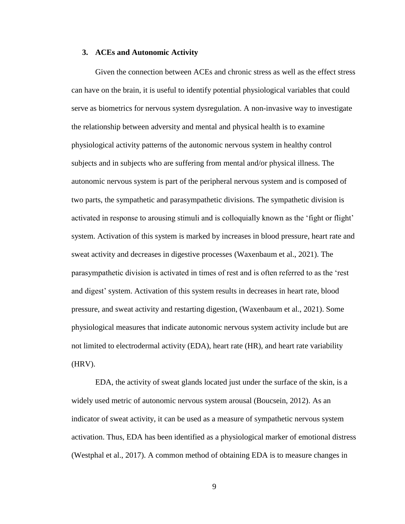#### **3. ACEs and Autonomic Activity**

Given the connection between ACEs and chronic stress as well as the effect stress can have on the brain, it is useful to identify potential physiological variables that could serve as biometrics for nervous system dysregulation. A non-invasive way to investigate the relationship between adversity and mental and physical health is to examine physiological activity patterns of the autonomic nervous system in healthy control subjects and in subjects who are suffering from mental and/or physical illness. The autonomic nervous system is part of the peripheral nervous system and is composed of two parts, the sympathetic and parasympathetic divisions. The sympathetic division is activated in response to arousing stimuli and is colloquially known as the 'fight or flight' system. Activation of this system is marked by increases in blood pressure, heart rate and sweat activity and decreases in digestive processes (Waxenbaum et al., 2021). The parasympathetic division is activated in times of rest and is often referred to as the 'rest and digest' system. Activation of this system results in decreases in heart rate, blood pressure, and sweat activity and restarting digestion, (Waxenbaum et al., 2021). Some physiological measures that indicate autonomic nervous system activity include but are not limited to electrodermal activity (EDA), heart rate (HR), and heart rate variability (HRV).

EDA, the activity of sweat glands located just under the surface of the skin, is a widely used metric of autonomic nervous system arousal (Boucsein, 2012). As an indicator of sweat activity, it can be used as a measure of sympathetic nervous system activation. Thus, EDA has been identified as a physiological marker of emotional distress (Westphal et al., 2017). A common method of obtaining EDA is to measure changes in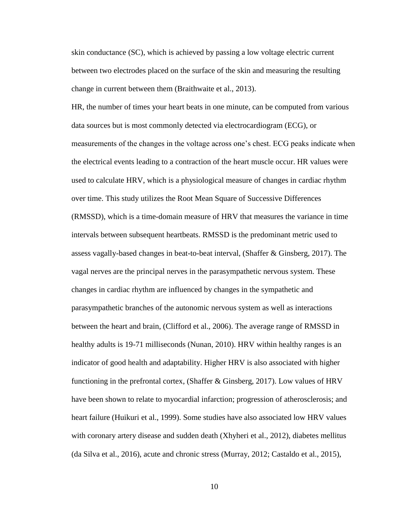skin conductance (SC), which is achieved by passing a low voltage electric current between two electrodes placed on the surface of the skin and measuring the resulting change in current between them (Braithwaite et al., 2013).

HR, the number of times your heart beats in one minute, can be computed from various data sources but is most commonly detected via electrocardiogram (ECG), or measurements of the changes in the voltage across one's chest. ECG peaks indicate when the electrical events leading to a contraction of the heart muscle occur. HR values were used to calculate HRV, which is a physiological measure of changes in cardiac rhythm over time. This study utilizes the Root Mean Square of Successive Differences (RMSSD), which is a time-domain measure of HRV that measures the variance in time intervals between subsequent heartbeats. RMSSD is the predominant metric used to assess vagally-based changes in beat-to-beat interval, (Shaffer & Ginsberg, 2017). The vagal nerves are the principal nerves in the parasympathetic nervous system. These changes in cardiac rhythm are influenced by changes in the sympathetic and parasympathetic branches of the autonomic nervous system as well as interactions between the heart and brain, (Clifford et al., 2006). The average range of RMSSD in healthy adults is 19-71 milliseconds (Nunan, 2010). HRV within healthy ranges is an indicator of good health and adaptability. Higher HRV is also associated with higher functioning in the prefrontal cortex, (Shaffer & Ginsberg, 2017). Low values of HRV have been shown to relate to myocardial infarction; progression of atherosclerosis; and heart failure (Huikuri et al., 1999). Some studies have also associated low HRV values with coronary artery disease and sudden death (Xhyheri et al., 2012), diabetes mellitus (da Silva et al., 2016), acute and chronic stress (Murray, 2012; Castaldo et al., 2015),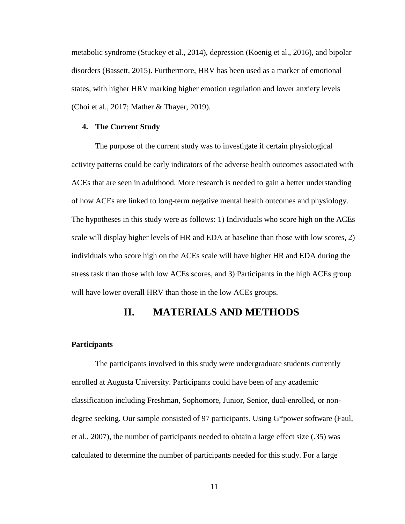metabolic syndrome (Stuckey et al., 2014), depression (Koenig et al., 2016), and bipolar disorders (Bassett, 2015). Furthermore, HRV has been used as a marker of emotional states, with higher HRV marking higher emotion regulation and lower anxiety levels (Choi et al., 2017; Mather & Thayer, 2019).

#### **4. The Current Study**

The purpose of the current study was to investigate if certain physiological activity patterns could be early indicators of the adverse health outcomes associated with ACEs that are seen in adulthood. More research is needed to gain a better understanding of how ACEs are linked to long-term negative mental health outcomes and physiology. The hypotheses in this study were as follows: 1) Individuals who score high on the ACEs scale will display higher levels of HR and EDA at baseline than those with low scores, 2) individuals who score high on the ACEs scale will have higher HR and EDA during the stress task than those with low ACEs scores, and 3) Participants in the high ACEs group will have lower overall HRV than those in the low ACEs groups.

### **II. MATERIALS AND METHODS**

#### <span id="page-10-0"></span>**Participants**

The participants involved in this study were undergraduate students currently enrolled at Augusta University. Participants could have been of any academic classification including Freshman, Sophomore, Junior, Senior, dual-enrolled, or nondegree seeking. Our sample consisted of 97 participants. Using G\*power software (Faul, et al., 2007), the number of participants needed to obtain a large effect size (.35) was calculated to determine the number of participants needed for this study. For a large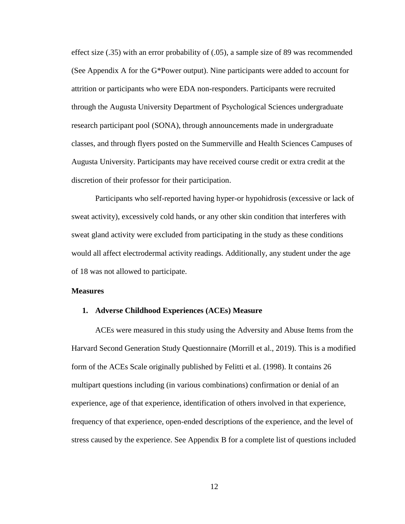effect size (.35) with an error probability of (.05), a sample size of 89 was recommended (See Appendix A for the G\*Power output). Nine participants were added to account for attrition or participants who were EDA non-responders. Participants were recruited through the Augusta University Department of Psychological Sciences undergraduate research participant pool (SONA), through announcements made in undergraduate classes, and through flyers posted on the Summerville and Health Sciences Campuses of Augusta University. Participants may have received course credit or extra credit at the discretion of their professor for their participation.

Participants who self-reported having hyper-or hypohidrosis (excessive or lack of sweat activity), excessively cold hands, or any other skin condition that interferes with sweat gland activity were excluded from participating in the study as these conditions would all affect electrodermal activity readings. Additionally, any student under the age of 18 was not allowed to participate.

#### **Measures**

#### **1. Adverse Childhood Experiences (ACEs) Measure**

ACEs were measured in this study using the Adversity and Abuse Items from the Harvard Second Generation Study Questionnaire (Morrill et al., 2019). This is a modified form of the ACEs Scale originally published by Felitti et al. (1998). It contains 26 multipart questions including (in various combinations) confirmation or denial of an experience, age of that experience, identification of others involved in that experience, frequency of that experience, open-ended descriptions of the experience, and the level of stress caused by the experience. See Appendix B for a complete list of questions included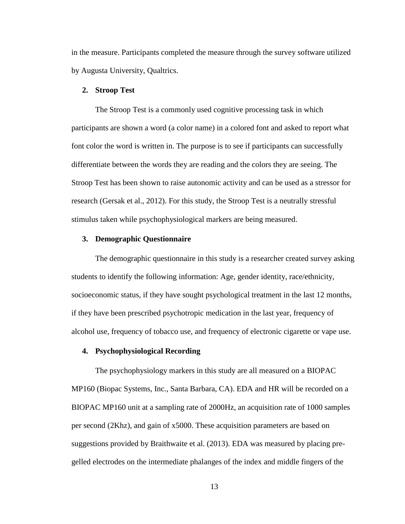in the measure. Participants completed the measure through the survey software utilized by Augusta University, Qualtrics.

#### **2. Stroop Test**

The Stroop Test is a commonly used cognitive processing task in which participants are shown a word (a color name) in a colored font and asked to report what font color the word is written in. The purpose is to see if participants can successfully differentiate between the words they are reading and the colors they are seeing. The Stroop Test has been shown to raise autonomic activity and can be used as a stressor for research (Gersak et al., 2012). For this study, the Stroop Test is a neutrally stressful stimulus taken while psychophysiological markers are being measured.

#### **3. Demographic Questionnaire**

The demographic questionnaire in this study is a researcher created survey asking students to identify the following information: Age, gender identity, race/ethnicity, socioeconomic status, if they have sought psychological treatment in the last 12 months, if they have been prescribed psychotropic medication in the last year, frequency of alcohol use, frequency of tobacco use, and frequency of electronic cigarette or vape use.

#### **4. Psychophysiological Recording**

The psychophysiology markers in this study are all measured on a BIOPAC MP160 (Biopac Systems, Inc., Santa Barbara, CA). EDA and HR will be recorded on a BIOPAC MP160 unit at a sampling rate of 2000Hz, an acquisition rate of 1000 samples per second (2Khz), and gain of x5000. These acquisition parameters are based on suggestions provided by Braithwaite et al. (2013). EDA was measured by placing pregelled electrodes on the intermediate phalanges of the index and middle fingers of the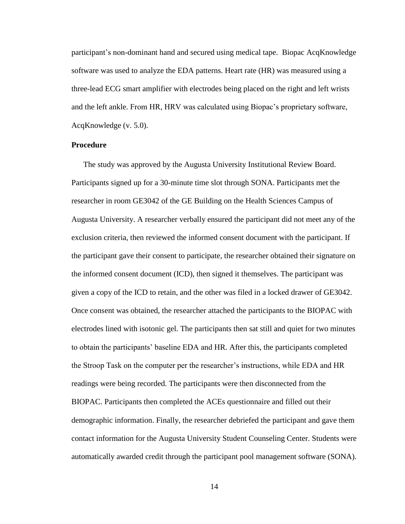participant's non-dominant hand and secured using medical tape. Biopac AcqKnowledge software was used to analyze the EDA patterns. Heart rate (HR) was measured using a three-lead ECG smart amplifier with electrodes being placed on the right and left wrists and the left ankle. From HR, HRV was calculated using Biopac's proprietary software, AcqKnowledge (v. 5.0).

#### **Procedure**

The study was approved by the Augusta University Institutional Review Board. Participants signed up for a 30-minute time slot through SONA. Participants met the researcher in room GE3042 of the GE Building on the Health Sciences Campus of Augusta University. A researcher verbally ensured the participant did not meet any of the exclusion criteria, then reviewed the informed consent document with the participant. If the participant gave their consent to participate, the researcher obtained their signature on the informed consent document (ICD), then signed it themselves. The participant was given a copy of the ICD to retain, and the other was filed in a locked drawer of GE3042. Once consent was obtained, the researcher attached the participants to the BIOPAC with electrodes lined with isotonic gel. The participants then sat still and quiet for two minutes to obtain the participants' baseline EDA and HR. After this, the participants completed the Stroop Task on the computer per the researcher's instructions, while EDA and HR readings were being recorded. The participants were then disconnected from the BIOPAC. Participants then completed the ACEs questionnaire and filled out their demographic information. Finally, the researcher debriefed the participant and gave them contact information for the Augusta University Student Counseling Center. Students were automatically awarded credit through the participant pool management software (SONA).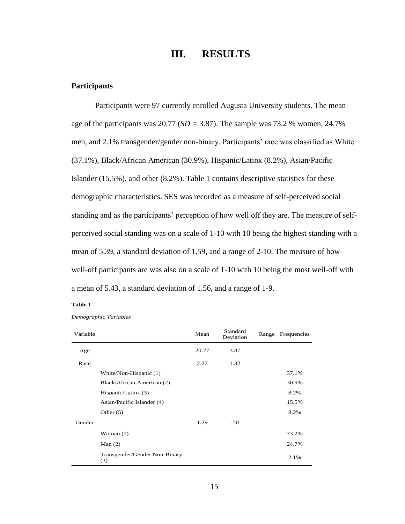## **III. RESULTS**

#### <span id="page-14-0"></span>**Participants**

Participants were 97 currently enrolled Augusta University students. The mean age of the participants was 20.77 (*SD =* 3.87). The sample was 73.2 % women, 24.7% men, and 2.1% transgender/gender non-binary. Participants' race was classified as White (37.1%), Black/African American (30.9%), Hispanic/Latinx (8.2%), Asian/Pacific Islander (15.5%), and other (8.2%). Table 1 contains descriptive statistics for these demographic characteristics. SES was recorded as a measure of self-perceived social standing and as the participants' perception of how well off they are. The measure of selfperceived social standing was on a scale of 1-10 with 10 being the highest standing with a mean of 5.39, a standard deviation of 1.59, and a range of 2-10. The measure of how well-off participants are was also on a scale of 1-10 with 10 being the most well-off with a mean of 5.43, a standard deviation of 1.56, and a range of 1-9.

#### **Table 1**

| Variable |                                      | Mean  | Standard<br>Deviation | Range Frequencies |
|----------|--------------------------------------|-------|-----------------------|-------------------|
| Age      |                                      | 20.77 | 3.87                  |                   |
| Race     |                                      | 2.27  | 1.32                  |                   |
|          | White/Non-Hispanic (1)               |       |                       | 37.1%             |
|          | Black/African American (2)           |       |                       | 30.9%             |
|          | Hispanic/Latinx (3)                  |       |                       | 8.2%              |
|          | Asian/Pacific Islander (4)           |       |                       | 15.5%             |
|          | Other $(5)$                          |       |                       | 8.2%              |
| Gender   |                                      | 1.29  | .50                   |                   |
|          | Woman $(1)$                          |       |                       | 73.2%             |
|          | Man $(2)$                            |       |                       | 24.7%             |
|          | Transgender/Gender Non-Binary<br>(3) |       |                       | 2.1%              |

*Demographic Variables*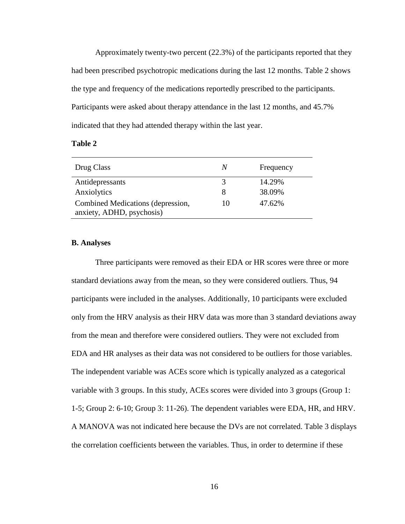Approximately twenty-two percent (22.3%) of the participants reported that they had been prescribed psychotropic medications during the last 12 months. Table 2 shows the type and frequency of the medications reportedly prescribed to the participants. Participants were asked about therapy attendance in the last 12 months, and 45.7% indicated that they had attended therapy within the last year.

| ını<br>н |  |
|----------|--|
|----------|--|

| Drug Class                                                     | N  | Frequency |
|----------------------------------------------------------------|----|-----------|
| Antidepressants                                                |    | 14.29%    |
| Anxiolytics                                                    |    | 38.09%    |
| Combined Medications (depression,<br>anxiety, ADHD, psychosis) | 10 | 47.62%    |

#### **B. Analyses**

Three participants were removed as their EDA or HR scores were three or more standard deviations away from the mean, so they were considered outliers. Thus, 94 participants were included in the analyses. Additionally, 10 participants were excluded only from the HRV analysis as their HRV data was more than 3 standard deviations away from the mean and therefore were considered outliers. They were not excluded from EDA and HR analyses as their data was not considered to be outliers for those variables. The independent variable was ACEs score which is typically analyzed as a categorical variable with 3 groups. In this study, ACEs scores were divided into 3 groups (Group 1: 1-5; Group 2: 6-10; Group 3: 11-26). The dependent variables were EDA, HR, and HRV. A MANOVA was not indicated here because the DVs are not correlated. Table 3 displays the correlation coefficients between the variables. Thus, in order to determine if these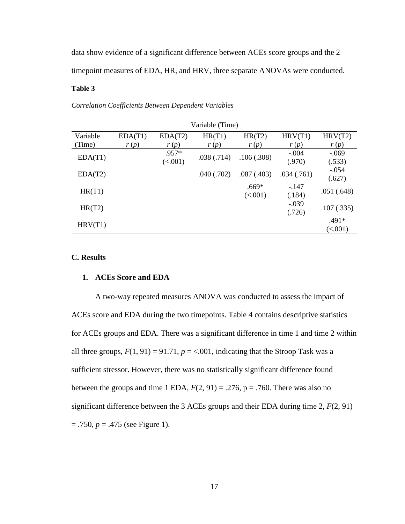data show evidence of a significant difference between ACEs score groups and the 2 timepoint measures of EDA, HR, and HRV, three separate ANOVAs were conducted.

#### **Table 3**

| Variable (Time) |         |         |            |            |            |            |
|-----------------|---------|---------|------------|------------|------------|------------|
| Variable        | EDA(T1) | EDA(T2) | HR(T1)     | HR(T2)     | HRV(T1)    | HRV(T2)    |
| (Time)          | r(p)    | r(p)    | r(p)       | r(p)       | r(p)       | r(p)       |
|                 |         | .957*   | .038(.714) | .106(.308) | $-.004$    | $-.069$    |
| EDA(T1)         |         | (<.001) |            |            | (.970)     | (.533)     |
| EDA(T2)         |         |         | .040(.702) | .087(.403) | .034(.761) | $-.054$    |
|                 |         |         |            |            |            | (.627)     |
| HR(T1)          |         |         |            | $.669*$    | $-.147$    | .051(.648) |
|                 |         |         |            | (<.001)    | (.184)     |            |
| HR(T2)          |         |         |            |            | $-.039$    | .107(.335) |
|                 |         |         |            |            | (.726)     |            |
| HRV(T1)         |         |         |            |            |            | $.491*$    |
|                 |         |         |            |            |            | (<.001)    |

*Correlation Coefficients Between Dependent Variables*

#### <span id="page-16-0"></span>**C. Results**

#### **1. ACEs Score and EDA**

A two-way repeated measures ANOVA was conducted to assess the impact of ACEs score and EDA during the two timepoints. Table 4 contains descriptive statistics for ACEs groups and EDA. There was a significant difference in time 1 and time 2 within all three groups,  $F(1, 91) = 91.71$ ,  $p = < .001$ , indicating that the Stroop Task was a sufficient stressor. However, there was no statistically significant difference found between the groups and time 1 EDA,  $F(2, 91) = .276$ ,  $p = .760$ . There was also no significant difference between the 3 ACEs groups and their EDA during time  $2, F(2, 91)$ = .750, *p* = .475 (see Figure 1).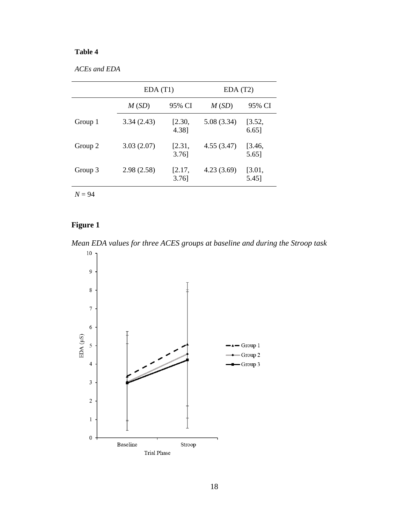### **Table 4**

*ACEs and EDA*

| EDA(T1)    |                    | EDA(T2)     |                    |
|------------|--------------------|-------------|--------------------|
| M(SD)      | 95% CI             | M(SD)       | 95% CI             |
| 3.34(2.43) | [2.30,<br>4.38]    | 5.08 (3.34) | [3.52,<br>$6.65$ ] |
| 3.03(2.07) | [2.31,<br>$3.76$ ] | 4.55(3.47)  | [3.46,<br>5.65]    |
| 2.98(2.58) | [2.17,<br>$3.76$ ] | 4.23(3.69)  | [3.01,<br>5.45]    |
|            |                    |             |                    |

*N* = 94

## **Figure 1**

*Mean EDA values for three ACES groups at baseline and during the Stroop task*

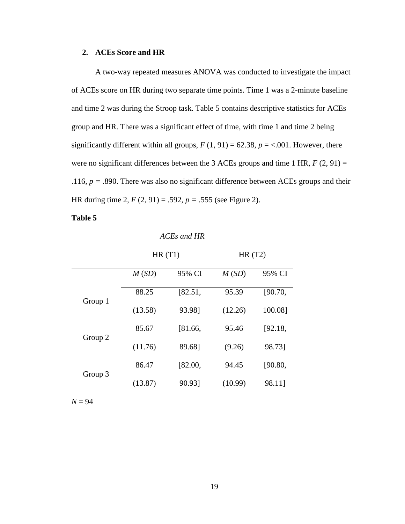#### **2. ACEs Score and HR**

A two-way repeated measures ANOVA was conducted to investigate the impact of ACEs score on HR during two separate time points. Time 1 was a 2-minute baseline and time 2 was during the Stroop task. Table 5 contains descriptive statistics for ACEs group and HR. There was a significant effect of time, with time 1 and time 2 being significantly different within all groups,  $F(1, 91) = 62.38$ ,  $p = < .001$ . However, there were no significant differences between the 3 ACEs groups and time 1 HR,  $F(2, 91) =$ .116,  $p = .890$ . There was also no significant difference between ACEs groups and their HR during time 2, *F* (2, 91) = .592, *p =* .555 (see Figure 2).

#### **Table 5**

|         | HR(T1)  |         | HR(T2)  |         |
|---------|---------|---------|---------|---------|
|         | M(SD)   | 95% CI  | M(SD)   | 95% CI  |
| Group 1 | 88.25   | [82.51, | 95.39   | [90.70, |
|         | (13.58) | 93.98]  | (12.26) | 100.08] |
| Group 2 | 85.67   | [81.66, | 95.46   | [92.18, |
|         | (11.76) | 89.68]  | (9.26)  | 98.73]  |
|         | 86.47   | [82.00, | 94.45   | [90.80, |
| Group 3 | (13.87) | 90.93]  | (10.99) | 98.11]  |
|         |         |         |         |         |

*ACEs and HR*

 $N = 94$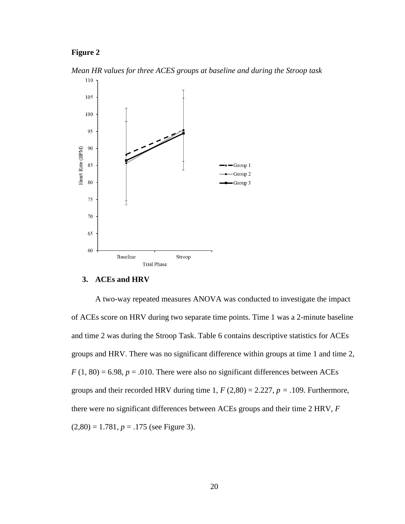#### **Figure 2**

*Mean HR values for three ACES groups at baseline and during the Stroop task*



#### **3. ACEs and HRV**

A two-way repeated measures ANOVA was conducted to investigate the impact of ACEs score on HRV during two separate time points. Time 1 was a 2-minute baseline and time 2 was during the Stroop Task. Table 6 contains descriptive statistics for ACEs groups and HRV. There was no significant difference within groups at time 1 and time 2,  $F(1, 80) = 6.98$ ,  $p = .010$ . There were also no significant differences between ACEs groups and their recorded HRV during time 1,  $F(2,80) = 2.227$ ,  $p = .109$ . Furthermore, there were no significant differences between ACEs groups and their time 2 HRV, *F*   $(2,80) = 1.781, p = .175$  (see Figure 3).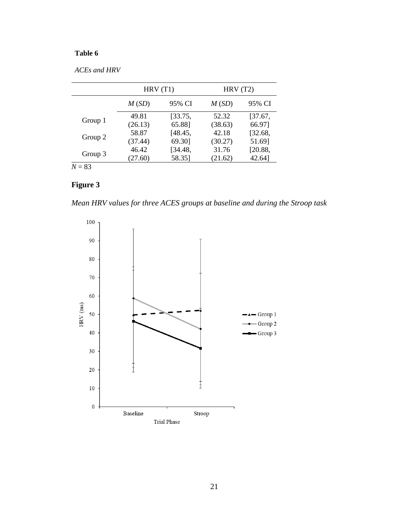### **Table 6**

| <b>ACEs and HRV</b> |
|---------------------|
|---------------------|

|          | HRV(T1)         |         | HRV(T2) |         |
|----------|-----------------|---------|---------|---------|
|          | 95% CI<br>M(SD) |         | M(SD)   | 95% CI  |
|          | 49.81           | [33.75, | 52.32   | [37.67, |
| Group 1  | (26.13)         | 65.88]  | (38.63) | 66.97]  |
|          | 58.87           | [48.45, | 42.18   | [32.68, |
| Group 2  | (37.44)         | 69.30]  | (30.27) | 51.69]  |
|          | 46.42           | [34.48, | 31.76   | [20.88, |
| Group 3  | (27.60)         | 58.35]  | (21.62) | 42.64]  |
| $N = 83$ |                 |         |         |         |

### **Figure 3**

*Mean HRV values for three ACES groups at baseline and during the Stroop task*

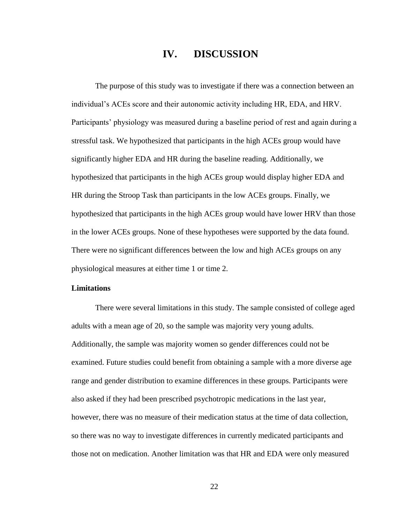## **IV. DISCUSSION**

The purpose of this study was to investigate if there was a connection between an individual's ACEs score and their autonomic activity including HR, EDA, and HRV. Participants' physiology was measured during a baseline period of rest and again during a stressful task. We hypothesized that participants in the high ACEs group would have significantly higher EDA and HR during the baseline reading. Additionally, we hypothesized that participants in the high ACEs group would display higher EDA and HR during the Stroop Task than participants in the low ACEs groups. Finally, we hypothesized that participants in the high ACEs group would have lower HRV than those in the lower ACEs groups. None of these hypotheses were supported by the data found. There were no significant differences between the low and high ACEs groups on any physiological measures at either time 1 or time 2.

#### **Limitations**

There were several limitations in this study. The sample consisted of college aged adults with a mean age of 20, so the sample was majority very young adults. Additionally, the sample was majority women so gender differences could not be examined. Future studies could benefit from obtaining a sample with a more diverse age range and gender distribution to examine differences in these groups. Participants were also asked if they had been prescribed psychotropic medications in the last year, however, there was no measure of their medication status at the time of data collection, so there was no way to investigate differences in currently medicated participants and those not on medication. Another limitation was that HR and EDA were only measured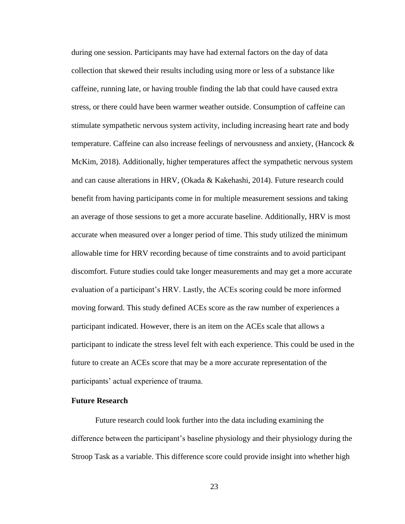during one session. Participants may have had external factors on the day of data collection that skewed their results including using more or less of a substance like caffeine, running late, or having trouble finding the lab that could have caused extra stress, or there could have been warmer weather outside. Consumption of caffeine can stimulate sympathetic nervous system activity, including increasing heart rate and body temperature. Caffeine can also increase feelings of nervousness and anxiety, (Hancock  $\&$ McKim, 2018). Additionally, higher temperatures affect the sympathetic nervous system and can cause alterations in HRV, (Okada & Kakehashi, 2014). Future research could benefit from having participants come in for multiple measurement sessions and taking an average of those sessions to get a more accurate baseline. Additionally, HRV is most accurate when measured over a longer period of time. This study utilized the minimum allowable time for HRV recording because of time constraints and to avoid participant discomfort. Future studies could take longer measurements and may get a more accurate evaluation of a participant's HRV. Lastly, the ACEs scoring could be more informed moving forward. This study defined ACEs score as the raw number of experiences a participant indicated. However, there is an item on the ACEs scale that allows a participant to indicate the stress level felt with each experience. This could be used in the future to create an ACEs score that may be a more accurate representation of the participants' actual experience of trauma.

#### **Future Research**

Future research could look further into the data including examining the difference between the participant's baseline physiology and their physiology during the Stroop Task as a variable. This difference score could provide insight into whether high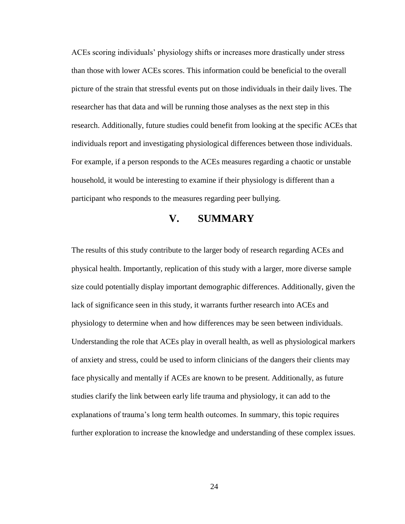ACEs scoring individuals' physiology shifts or increases more drastically under stress than those with lower ACEs scores. This information could be beneficial to the overall picture of the strain that stressful events put on those individuals in their daily lives. The researcher has that data and will be running those analyses as the next step in this research. Additionally, future studies could benefit from looking at the specific ACEs that individuals report and investigating physiological differences between those individuals. For example, if a person responds to the ACEs measures regarding a chaotic or unstable household, it would be interesting to examine if their physiology is different than a participant who responds to the measures regarding peer bullying.

## **V. SUMMARY**

The results of this study contribute to the larger body of research regarding ACEs and physical health. Importantly, replication of this study with a larger, more diverse sample size could potentially display important demographic differences. Additionally, given the lack of significance seen in this study, it warrants further research into ACEs and physiology to determine when and how differences may be seen between individuals. Understanding the role that ACEs play in overall health, as well as physiological markers of anxiety and stress, could be used to inform clinicians of the dangers their clients may face physically and mentally if ACEs are known to be present. Additionally, as future studies clarify the link between early life trauma and physiology, it can add to the explanations of trauma's long term health outcomes. In summary, this topic requires further exploration to increase the knowledge and understanding of these complex issues.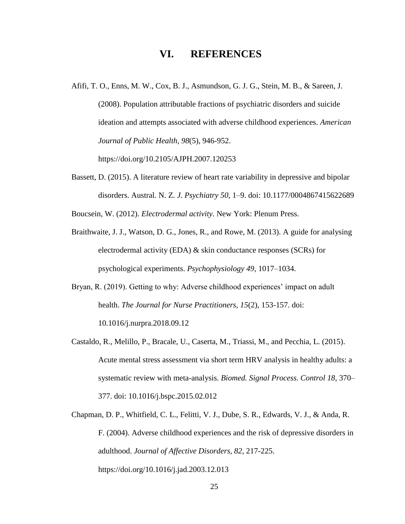## **VI. REFERENCES**

- Afifi, T. O., Enns, M. W., Cox, B. J., Asmundson, G. J. G., Stein, M. B., & Sareen, J. (2008). Population attributable fractions of psychiatric disorders and suicide ideation and attempts associated with adverse childhood experiences. *American Journal of Public Health, 98*(5), 946-952. https://doi.org/10.2105/AJPH.2007.120253
- Bassett, D. (2015). A literature review of heart rate variability in depressive and bipolar disorders. Austral. N. Z. *J. Psychiatry 50*, 1–9. doi: 10.1177/0004867415622689

Boucsein, W. (2012). *Electrodermal activity.* New York: Plenum Press.

- Braithwaite, J. J., Watson, D. G., Jones, R., and Rowe, M. (2013). A guide for analysing electrodermal activity (EDA) & skin conductance responses (SCRs) for psychological experiments. *Psychophysiology 49*, 1017–1034.
- Bryan, R. (2019). Getting to why: Adverse childhood experiences' impact on adult health. *The Journal for Nurse Practitioners, 15*(2), 153-157. doi: 10.1016/j.nurpra.2018.09.12
- Castaldo, R., Melillo, P., Bracale, U., Caserta, M., Triassi, M., and Pecchia, L. (2015). Acute mental stress assessment via short term HRV analysis in healthy adults: a systematic review with meta-analysis. *Biomed. Signal Process. Control 18*, 370– 377. doi: 10.1016/j.bspc.2015.02.012
- Chapman, D. P., Whitfield, C. L., Felitti, V. J., Dube, S. R., Edwards, V. J., & Anda, R. F. (2004). Adverse childhood experiences and the risk of depressive disorders in adulthood. *Journal of Affective Disorders, 82*, 217-225. https://doi.org/10.1016/j.jad.2003.12.013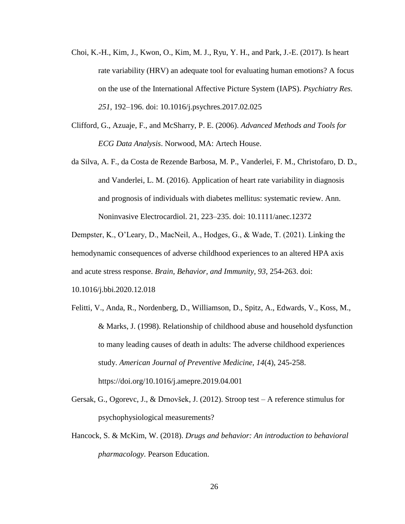- Choi, K.-H., Kim, J., Kwon, O., Kim, M. J., Ryu, Y. H., and Park, J.-E. (2017). Is heart rate variability (HRV) an adequate tool for evaluating human emotions? A focus on the use of the International Affective Picture System (IAPS). *Psychiatry Res. 251*, 192–196. doi: 10.1016/j.psychres.2017.02.025
- Clifford, G., Azuaje, F., and McSharry, P. E. (2006). *Advanced Methods and Tools for ECG Data Analysis*. Norwood, MA: Artech House.
- da Silva, A. F., da Costa de Rezende Barbosa, M. P., Vanderlei, F. M., Christofaro, D. D., and Vanderlei, L. M. (2016). Application of heart rate variability in diagnosis and prognosis of individuals with diabetes mellitus: systematic review. Ann. Noninvasive Electrocardiol. 21, 223–235. doi: 10.1111/anec.12372

Dempster, K., O'Leary, D., MacNeil, A., Hodges, G., & Wade, T. (2021). Linking the hemodynamic consequences of adverse childhood experiences to an altered HPA axis and acute stress response. *Brain, Behavior, and Immunity, 93,* 254-263. doi:

10.1016/j.bbi.2020.12.018

- Felitti, V., Anda, R., Nordenberg, D., Williamson, D., Spitz, A., Edwards, V., Koss, M., & Marks, J. (1998). Relationship of childhood abuse and household dysfunction to many leading causes of death in adults: The adverse childhood experiences study. *American Journal of Preventive Medicine, 14*(4), 245-258. https://doi.org/10.1016/j.amepre.2019.04.001
- Gersak, G., Ogorevc, J., & Drnovšek, J. (2012). Stroop test A reference stimulus for psychophysiological measurements?
- Hancock, S. & McKim, W. (2018). *Drugs and behavior: An introduction to behavioral pharmacology.* Pearson Education.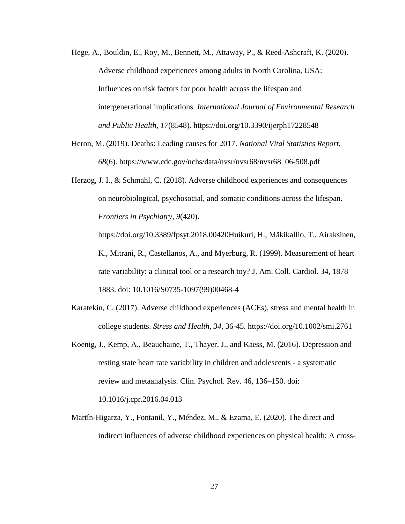- Hege, A., Bouldin, E., Roy, M., Bennett, M., Attaway, P., & Reed-Ashcraft, K. (2020). Adverse childhood experiences among adults in North Carolina, USA: Influences on risk factors for poor health across the lifespan and intergenerational implications. *International Journal of Environmental Research and Public Health, 17*(8548). https://doi.org/10.3390/ijerph17228548
- Heron, M. (2019). Deaths: Leading causes for 2017. *National Vital Statistics Report, 68*(6). https://www.cdc.gov/nchs/data/nvsr/nvsr68/nvsr68\_06-508.pdf
- Herzog, J. I., & Schmahl, C. (2018). Adverse childhood experiences and consequences on neurobiological, psychosocial, and somatic conditions across the lifespan. *Frontiers in Psychiatry, 9*(420).

https://doi.org/10.3389/fpsyt.2018.00420Huikuri, H., Mäkikallio, T., Airaksinen, K., Mitrani, R., Castellanos, A., and Myerburg, R. (1999). Measurement of heart rate variability: a clinical tool or a research toy? J. Am. Coll. Cardiol. 34, 1878– 1883. doi: 10.1016/S0735-1097(99)00468-4

- Karatekin, C. (2017). Adverse childhood experiences (ACEs), stress and mental health in college students. *Stress and Health, 34*, 36-45. https://doi.org/10.1002/smi.2761
- Koenig, J., Kemp, A., Beauchaine, T., Thayer, J., and Kaess, M. (2016). Depression and resting state heart rate variability in children and adolescents - a systematic review and metaanalysis. Clin. Psychol. Rev. 46, 136–150. doi: 10.1016/j.cpr.2016.04.013

Martín-Higarza, Y., Fontanil, Y., Méndez, M., & Ezama, E. (2020). The direct and indirect influences of adverse childhood experiences on physical health: A cross-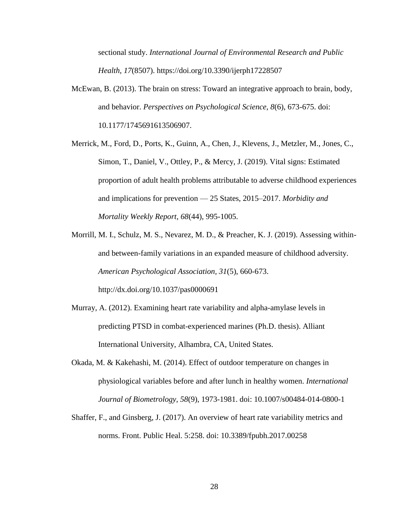sectional study. *International Journal of Environmental Research and Public Health, 17*(8507). https://doi.org/10.3390/ijerph17228507

- McEwan, B. (2013). The brain on stress: Toward an integrative approach to brain, body, and behavior. *Perspectives on Psychological Science, 8*(6), 673-675. doi: 10.1177/1745691613506907.
- Merrick, M., Ford, D., Ports, K., Guinn, A., Chen, J., Klevens, J., Metzler, M., Jones, C., Simon, T., Daniel, V., Ottley, P., & Mercy, J. (2019). Vital signs: Estimated proportion of adult health problems attributable to adverse childhood experiences and implications for prevention — 25 States, 2015–2017. *Morbidity and Mortality Weekly Report, 68*(44), 995-1005.
- Morrill, M. I., Schulz, M. S., Nevarez, M. D., & Preacher, K. J. (2019). Assessing withinand between-family variations in an expanded measure of childhood adversity. *American Psychological Association, 31*(5), 660-673. http://dx.doi.org/10.1037/pas0000691
- Murray, A. (2012). Examining heart rate variability and alpha-amylase levels in predicting PTSD in combat-experienced marines (Ph.D. thesis). Alliant International University, Alhambra, CA, United States.
- Okada, M. & Kakehashi, M. (2014). Effect of outdoor temperature on changes in physiological variables before and after lunch in healthy women. *International Journal of Biometrology, 58*(9), 1973-1981. doi: 10.1007/s00484-014-0800-1
- Shaffer, F., and Ginsberg, J. (2017). An overview of heart rate variability metrics and norms. Front. Public Heal. 5:258. doi: 10.3389/fpubh.2017.00258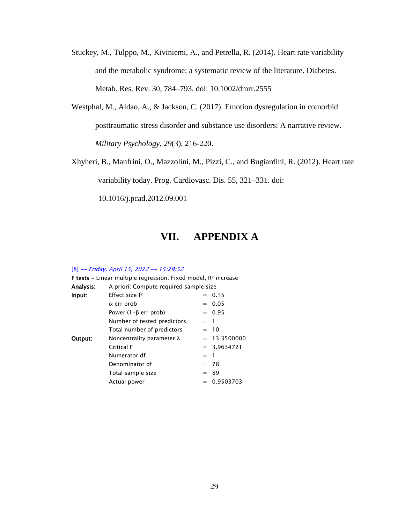- Stuckey, M., Tulppo, M., Kiviniemi, A., and Petrella, R. (2014). Heart rate variability and the metabolic syndrome: a systematic review of the literature. Diabetes. Metab. Res. Rev. 30, 784–793. doi: 10.1002/dmrr.2555
- Westphal, M., Aldao, A., & Jackson, C. (2017). Emotion dysregulation in comorbid posttraumatic stress disorder and substance use disorders: A narrative review. *Military Psychology, 29*(3), 216-220.

Xhyheri, B., Manfrini, O., Mazzolini, M., Pizzi, C., and Bugiardini, R. (2012). Heart rate variability today. Prog. Cardiovasc. Dis. 55, 321–331. doi:

10.1016/j.pcad.2012.09.001

## **VII. APPENDIX A**

#### [8] -- Friday, April 15, 2022 -- 15:29:52

| <b>F tests</b> – Linear multiple regression: Fixed model, $R^2$ increase |                                        |       |                |  |  |  |
|--------------------------------------------------------------------------|----------------------------------------|-------|----------------|--|--|--|
| Analysis:                                                                | A priori: Compute required sample size |       |                |  |  |  |
| Input:                                                                   | Effect size f <sup>2</sup><br>$= 0.15$ |       |                |  |  |  |
|                                                                          | $\alpha$ err prob                      |       | $= 0.05$       |  |  |  |
|                                                                          | Power $(1-\beta$ err prob)             |       | $= 0.95$       |  |  |  |
|                                                                          | Number of tested predictors            | $=$ 1 |                |  |  |  |
| Total number of predictors<br>$= 10$                                     |                                        |       |                |  |  |  |
| Output:                                                                  | Noncentrality parameter $\lambda$      |       | $= 13.3500000$ |  |  |  |
|                                                                          | Critical F                             |       | $= 3.9634721$  |  |  |  |
|                                                                          | Numerator df                           | $=$ 1 |                |  |  |  |
|                                                                          | Denominator df                         |       | $= 78$         |  |  |  |
|                                                                          | Total sample size                      |       | $= 89$         |  |  |  |
|                                                                          | Actual power                           |       | $= 0.9503703$  |  |  |  |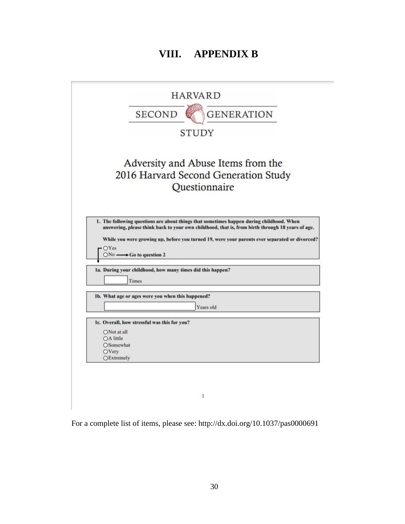## **VIII. APPENDIX B**

|                                 | <b>SECOND</b><br><b>GENERATION</b>                                                                                                                                                                              |
|---------------------------------|-----------------------------------------------------------------------------------------------------------------------------------------------------------------------------------------------------------------|
|                                 |                                                                                                                                                                                                                 |
|                                 | <b>STUDY</b>                                                                                                                                                                                                    |
|                                 | Adversity and Abuse Items from the                                                                                                                                                                              |
|                                 | 2016 Harvard Second Generation Study                                                                                                                                                                            |
|                                 | Questionnaire                                                                                                                                                                                                   |
|                                 | 1. The following questions are about things that sometimes happen during childhood. When                                                                                                                        |
| OYes                            | $ONo \longrightarrow Go$ to question 2<br>1a. During your childhood, how many times did this happen?<br>Times                                                                                                   |
|                                 | Ib. What age or ages were you when this happened?                                                                                                                                                               |
|                                 | answering, please think back to your own childhood, that is, from birth through 18 years of age.<br>While you were growing up, before you turned 19, were your parents ever separated or divorced?<br>Years old |
|                                 | 1c. Overall, how stressful was this for you?                                                                                                                                                                    |
| ONot at all                     |                                                                                                                                                                                                                 |
| OA little<br>OSomewhat<br>OVery |                                                                                                                                                                                                                 |

For a complete list of items, please see: http://dx.doi.org/10.1037/pas0000691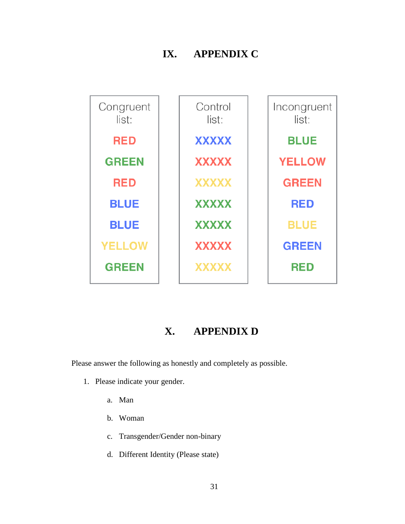## **IX. APPENDIX C**



## **X. APPENDIX D**

Please answer the following as honestly and completely as possible.

- 1. Please indicate your gender.
	- a. Man
	- b. Woman
	- c. Transgender/Gender non-binary
	- d. Different Identity (Please state)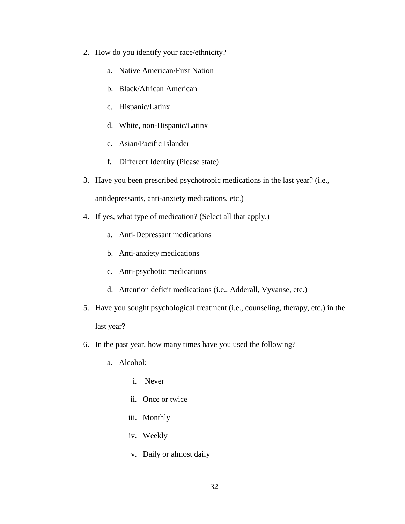- 2. How do you identify your race/ethnicity?
	- a. Native American/First Nation
	- b. Black/African American
	- c. Hispanic/Latinx
	- d. White, non-Hispanic/Latinx
	- e. Asian/Pacific Islander
	- f. Different Identity (Please state)
- 3. Have you been prescribed psychotropic medications in the last year? (i.e., antidepressants, anti-anxiety medications, etc.)
- 4. If yes, what type of medication? (Select all that apply.)
	- a. Anti-Depressant medications
	- b. Anti-anxiety medications
	- c. Anti-psychotic medications
	- d. Attention deficit medications (i.e., Adderall, Vyvanse, etc.)
- 5. Have you sought psychological treatment (i.e., counseling, therapy, etc.) in the last year?
- 6. In the past year, how many times have you used the following?
	- a. Alcohol:
		- i. Never
		- ii. Once or twice
		- iii. Monthly
		- iv. Weekly
		- v. Daily or almost daily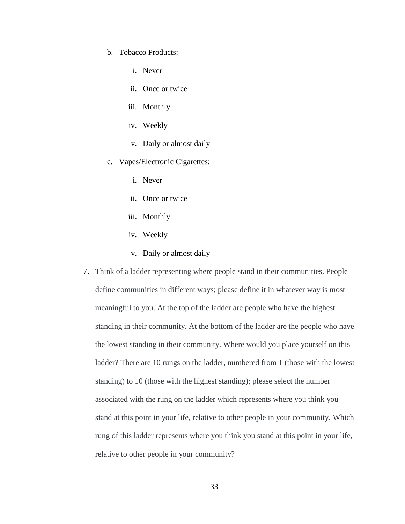- b. Tobacco Products:
	- i. Never
	- ii. Once or twice
	- iii. Monthly
	- iv. Weekly
	- v. Daily or almost daily
- c. Vapes/Electronic Cigarettes:
	- i. Never
	- ii. Once or twice
	- iii. Monthly
	- iv. Weekly
	- v. Daily or almost daily
- 7. Think of a ladder representing where people stand in their communities. People define communities in different ways; please define it in whatever way is most meaningful to you. At the top of the ladder are people who have the highest standing in their community. At the bottom of the ladder are the people who have the lowest standing in their community. Where would you place yourself on this ladder? There are 10 rungs on the ladder, numbered from 1 (those with the lowest standing) to 10 (those with the highest standing); please select the number associated with the rung on the ladder which represents where you think you stand at this point in your life, relative to other people in your community. Which rung of this ladder represents where you think you stand at this point in your life, relative to other people in your community?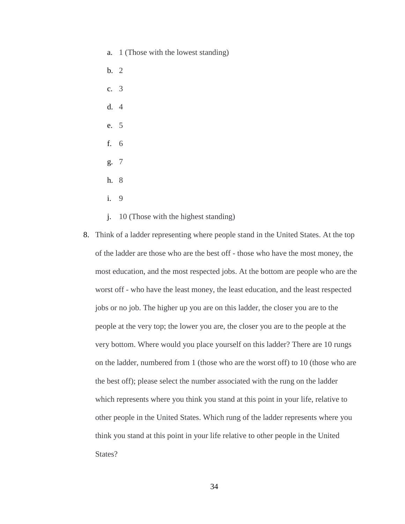- a. 1 (Those with the lowest standing)
- b. 2
- c. 3
- d. 4
- e. 5
- f. 6
- g. 7
- h. 8
- i. 9
- j. 10 (Those with the highest standing)
- 8. Think of a ladder representing where people stand in the United States. At the top of the ladder are those who are the best off - those who have the most money, the most education, and the most respected jobs. At the bottom are people who are the worst off - who have the least money, the least education, and the least respected jobs or no job. The higher up you are on this ladder, the closer you are to the people at the very top; the lower you are, the closer you are to the people at the very bottom. Where would you place yourself on this ladder? There are 10 rungs on the ladder, numbered from 1 (those who are the worst off) to 10 (those who are the best off); please select the number associated with the rung on the ladder which represents where you think you stand at this point in your life, relative to other people in the United States. Which rung of the ladder represents where you think you stand at this point in your life relative to other people in the United State<sub>s</sub>?